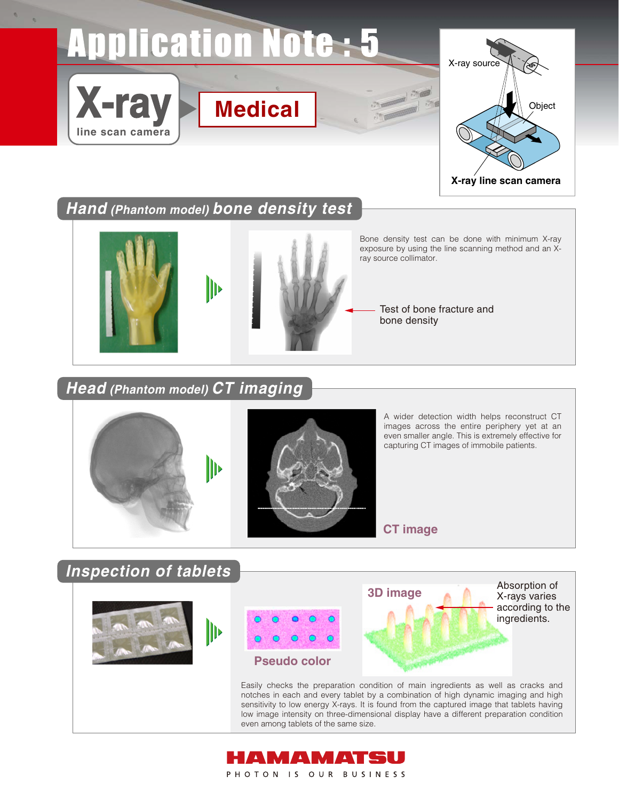## **Application Note: 5**



**Hand (Phantom model) bone density test**



**Head (Phantom model) CT imaging**



**X-ray**

**line scan camera**



A wider detection width helps reconstruct CT images across the entire periphery yet at an even smaller angle. This is extremely effective for capturing CT images of immobile patients.

**CT image**

**Inspection of tablets** Absorption of **3D image** X-rays varies according to the ingredients.╟┝ **Pseudo color** Easily checks the preparation condition of main ingredients as well as cracks and notches in each and every tablet by a combination of high dynamic imaging and high sensitivity to low energy X-rays. It is found from the captured image that tablets having low image intensity on three-dimensional display have a different preparation condition even among tablets of the same size.